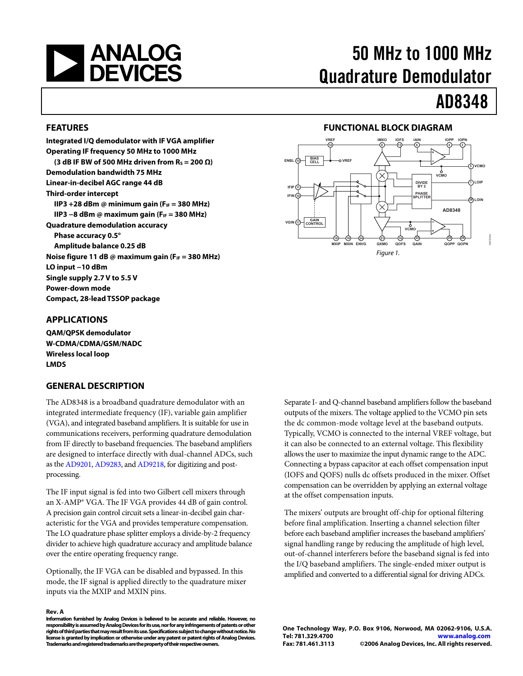<span id="page-0-0"></span>

# 50 MHz to 1000 MHz Quadrature Demodulator

# AD8348

#### **FEATURES**

**Integrated I/Q demodulator with IF VGA amplifier Operating IF frequency 50 MHz to 1000 MHz**  (3 dB IF BW of 500 MHz driven from  $R<sub>S</sub> = 200 Ω$ ) **Demodulation bandwidth 75 MHz Linear-in-decibel AGC range 44 dB Third-order intercept IIP3 +28 dBm @ minimum gain (F<sub>IF</sub> = 380 MHz) IIP3 −8 dBm @ maximum gain (F<sub>IF</sub> = 380 MHz) Quadrature demodulation accuracy Phase accuracy 0.5° Amplitude balance 0.25 dB**  Noise figure 11 dB @ maximum gain (F<sub>IF</sub> = 380 MHz) **LO input −10 dBm Single supply 2.7 V to 5.5 V Power-down mode Compact, 28-lead TSSOP package** 

#### **APPLICATIONS**

**QAM/QPSK demodulator W-CDMA/CDMA/GSM/NADC Wireless local loop LMDS** 

#### **GENERAL DESCRIPTION**

The AD8348 is a broadband quadrature demodulator with an integrated intermediate frequency (IF), variable gain amplifier (VGA), and integrated baseband amplifiers. It is suitable for use in communications receivers, performing quadrature demodulation from IF directly to baseband frequencies. The baseband amplifiers are designed to interface directly with dual-channel ADCs, such as the [AD9201](http://www.analog.com/en/prod/0%2C2877%2CAD9201%2C00.html), [AD9283,](http://www.analog.com/en/prod/0%2C2877%2CAD9283%2C00.html) and [AD9218,](http://www.analog.com/en/prod/0%2C2877%2CAD9218%2C00.html) for digitizing and postprocessing.

The IF input signal is fed into two Gilbert cell mixers through an X-AMP® VGA. The IF VGA provides 44 dB of gain control. A precision gain control circuit sets a linear-in-decibel gain characteristic for the VGA and provides temperature compensation. The LO quadrature phase splitter employs a divide-by-2 frequency divider to achieve high quadrature accuracy and amplitude balance over the entire operating frequency range.

Optionally, the IF VGA can be disabled and bypassed. In this mode, the IF signal is applied directly to the quadrature mixer inputs via the MXIP and MXIN pins.

#### **Rev. A**

**Information furnished by Analog Devices is believed to be accurate and reliable. However, no responsibility is assumed by Analog Devices for its use, nor for any infringements of patents or other rights of third parties that may result from its use. Specifications subject to change without notice. No license is granted by implication or otherwise under any patent or patent rights of Analog Devices. Trademarks and registered trademarks are the property of their respective owners.** 

#### **FUNCTIONAL BLOCK DIAGRAM**



Separate I- and Q-channel baseband amplifiers follow the baseband outputs of the mixers. The voltage applied to the VCMO pin sets the dc common-mode voltage level at the baseband outputs. Typically, VCMO is connected to the internal VREF voltage, but it can also be connected to an external voltage. This flexibility allows the user to maximize the input dynamic range to the ADC. Connecting a bypass capacitor at each offset compensation input (IOFS and QOFS) nulls dc offsets produced in the mixer. Offset compensation can be overridden by applying an external voltage at the offset compensation inputs.

The mixers' outputs are brought off-chip for optional filtering before final amplification. Inserting a channel selection filter before each baseband amplifier increases the baseband amplifiers' signal handling range by reducing the amplitude of high level, out-of-channel interferers before the baseband signal is fed into the I/Q baseband amplifiers. The single-ended mixer output is amplified and converted to a differential signal for driving ADCs.

**One Technology Way, P.O. Box 9106, Norwood, MA 02062-9106, U.S.A. Tel: 781.329.4700 www.analog.com Fax: 781.461.3113 ©2006 Analog Devices, Inc. All rights reserved.**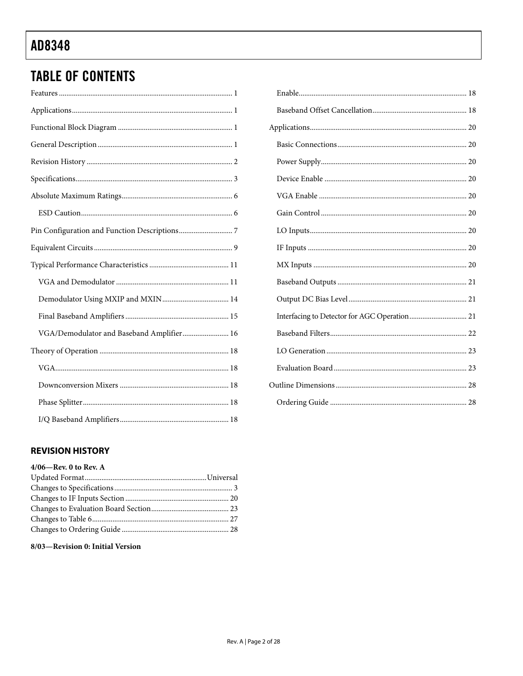# <span id="page-1-0"></span>**TABLE OF CONTENTS**

| VGA/Demodulator and Baseband Amplifier 16                                                                   |
|-------------------------------------------------------------------------------------------------------------|
|                                                                                                             |
|                                                                                                             |
|                                                                                                             |
| ${\bf Phase~Splitter.}.\hspace*{20pt} .\hspace*{20pt} {\bf Phase~Splitter.}.\hspace*{20pt} .\hspace*{20pt}$ |
|                                                                                                             |

### **REVISION HISTORY**

### $4/06$ —Rev.  $0$  to Rev.  ${\bf A}$

#### 8/03-Revision 0: Initial Version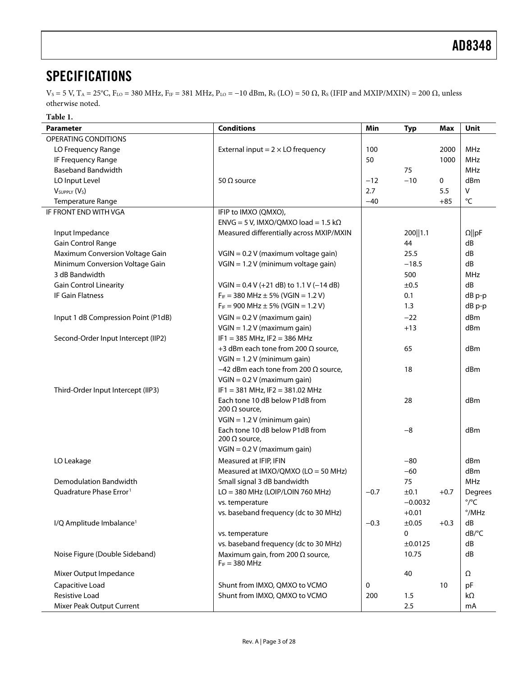## <span id="page-2-0"></span>**SPECIFICATIONS**

 $V_s = 5$  V,  $T_A = 25^{\circ}$ C,  $F_{LO} = 380$  MHz,  $F_{IF} = 381$  MHz,  $P_{LO} = -10$  dBm,  $R_s$  (LO) = 50  $\Omega$ ,  $R_s$  (IFIP and MXIP/MXIN) = 200  $\Omega$ , unless otherwise noted.

**Table 1.** 

| Parameter                                                | <b>Conditions</b>                             | Min    | <b>Typ</b> | Max    | Unit                  |
|----------------------------------------------------------|-----------------------------------------------|--------|------------|--------|-----------------------|
| OPERATING CONDITIONS                                     |                                               |        |            |        |                       |
| LO Frequency Range                                       | External input = $2 \times$ LO frequency      | 100    |            | 2000   | MHz                   |
| IF Frequency Range                                       |                                               | 50     |            | 1000   | <b>MHz</b>            |
| <b>Baseband Bandwidth</b>                                |                                               |        | 75         |        | <b>MHz</b>            |
| LO Input Level                                           | 50 $\Omega$ source                            | $-12$  | $-10$      | 0      | dBm                   |
| V <sub>SUPPLY</sub> (V <sub>S</sub> )                    |                                               | 2.7    |            | 5.5    | V                     |
| Temperature Range                                        |                                               | $-40$  |            | $+85$  | $^{\circ}{\sf C}$     |
| IF FRONT END WITH VGA                                    | IFIP to IMXO (QMXO),                          |        |            |        |                       |
|                                                          | ENVG = 5 V, IMXO/QMXO load = 1.5 k $\Omega$   |        |            |        |                       |
| Input Impedance                                          | Measured differentially across MXIP/MXIN      |        | 200   1.1  |        | $\Omega$   pF         |
| Gain Control Range                                       |                                               |        | 44         |        | dB                    |
| Maximum Conversion Voltage Gain                          | VGIN = 0.2 V (maximum voltage gain)           |        | 25.5       |        | dB                    |
| Minimum Conversion Voltage Gain                          | VGIN = 1.2 V (minimum voltage gain)           |        | $-18.5$    |        | dB                    |
| 3 dB Bandwidth                                           |                                               |        | 500        |        | <b>MHz</b>            |
|                                                          | $VGIN = 0.4 V (+21 dB)$ to 1.1 V (-14 dB)     |        |            |        | dB                    |
| <b>Gain Control Linearity</b><br><b>IF Gain Flatness</b> |                                               |        | ±0.5       |        |                       |
|                                                          | $F_{IF}$ = 380 MHz $\pm$ 5% (VGIN = 1.2 V)    |        | 0.1        |        | $dB$ p-p              |
|                                                          | $F_{IF}$ = 900 MHz $\pm$ 5% (VGIN = 1.2 V)    |        | 1.3        |        | dB p-p                |
| Input 1 dB Compression Point (P1dB)                      | $VGIN = 0.2 V$ (maximum gain)                 |        | $-22$      |        | dBm                   |
|                                                          | $VGIN = 1.2 V$ (maximum gain)                 |        | $+13$      |        | dBm                   |
| Second-Order Input Intercept (IIP2)                      | $IF1 = 385 MHz, IF2 = 386 MHz$                |        |            |        |                       |
|                                                          | +3 dBm each tone from 200 Ω source,           |        | 65         |        | dBm                   |
|                                                          | $VGIN = 1.2 V$ (minimum gain)                 |        |            |        |                       |
|                                                          | $-42$ dBm each tone from 200 $\Omega$ source, |        | 18         |        | dBm                   |
|                                                          | $VGIN = 0.2 V$ (maximum gain)                 |        |            |        |                       |
| Third-Order Input Intercept (IIP3)                       | $IF1 = 381 MHz, IF2 = 381.02 MHz$             |        |            |        |                       |
|                                                          | Each tone 10 dB below P1dB from               |        | 28         |        | dBm                   |
|                                                          | 200 $\Omega$ source,                          |        |            |        |                       |
|                                                          | $VGIN = 1.2 V (minimum gain)$                 |        |            |        |                       |
|                                                          | Each tone 10 dB below P1dB from               |        | $-8$       |        | dBm                   |
|                                                          | 200 $\Omega$ source,                          |        |            |        |                       |
|                                                          | $VGIN = 0.2 V$ (maximum gain)                 |        |            |        |                       |
| LO Leakage                                               | Measured at IFIP, IFIN                        |        | $-80$      |        | dBm                   |
|                                                          | Measured at IMXO/QMXO (LO = 50 MHz)           |        | $-60$      |        | dBm                   |
| Demodulation Bandwidth                                   | Small signal 3 dB bandwidth                   |        | 75         |        | <b>MHz</b>            |
| Quadrature Phase Error <sup>1</sup>                      | $LO = 380$ MHz (LOIP/LOIN 760 MHz)            | $-0.7$ | ±0.1       | $+0.7$ | Degrees               |
|                                                          | vs. temperature                               |        | $-0.0032$  |        | $^{\circ}/^{\circ}C$  |
|                                                          | vs. baseband frequency (dc to 30 MHz)         |        | $+0.01$    |        | $^{\circ}$ /MHz       |
| I/Q Amplitude Imbalance <sup>1</sup>                     |                                               | $-0.3$ | ±0.05      | $+0.3$ | dB                    |
|                                                          | vs. temperature                               |        | 0          |        | $dB$ <sup>o</sup> $C$ |
|                                                          | vs. baseband frequency (dc to 30 MHz)         |        | ±0.0125    |        | dB                    |
| Noise Figure (Double Sideband)                           | Maximum gain, from 200 $\Omega$ source,       |        | 10.75      |        | dB                    |
|                                                          | $F_{IF} = 380 MHz$                            |        |            |        |                       |
| Mixer Output Impedance                                   |                                               |        | 40         |        | Ω                     |
|                                                          |                                               |        |            |        |                       |
| Capacitive Load                                          | Shunt from IMXO, QMXO to VCMO                 | 0      |            | 10     | pF                    |
| <b>Resistive Load</b>                                    | Shunt from IMXO, QMXO to VCMO                 | 200    | 1.5        |        | $k\Omega$             |
| Mixer Peak Output Current                                |                                               |        | 2.5        |        | mA                    |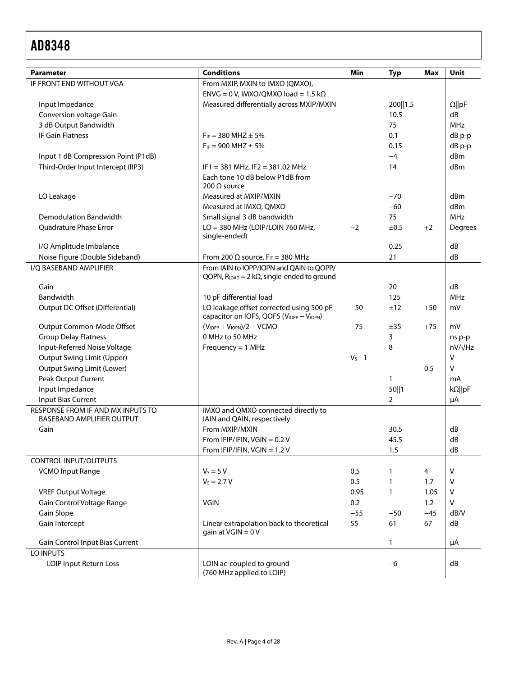| <b>Parameter</b>                                                      | <b>Conditions</b>                                                    | Min       |              | Max   | Unit             |
|-----------------------------------------------------------------------|----------------------------------------------------------------------|-----------|--------------|-------|------------------|
| IF FRONT END WITHOUT VGA                                              | From MXIP, MXIN to IMXO (QMXO),                                      |           | <b>Typ</b>   |       |                  |
|                                                                       | $ENVG = 0 V$ , IMXO/QMXO load = 1.5 k $\Omega$                       |           |              |       |                  |
| Input Impedance                                                       | Measured differentially across MXIP/MXIN                             |           | 200   1.5    |       | $\Omega$   pF    |
| Conversion voltage Gain                                               |                                                                      |           | 10.5         |       | dB               |
| 3 dB Output Bandwidth                                                 |                                                                      |           | 75           |       | MHz              |
| <b>IF Gain Flatness</b>                                               | $F_{IF}$ = 380 MHZ $\pm$ 5%                                          |           | 0.1          |       |                  |
|                                                                       | $F_{IF}$ = 900 MHZ $\pm$ 5%                                          |           | 0.15         |       | dB p-p<br>dB p-p |
| Input 1 dB Compression Point (P1dB)                                   |                                                                      |           | $-4$         |       | dBm              |
|                                                                       |                                                                      |           | 14           |       | dBm              |
| Third-Order Input Intercept (IIP3)                                    | $IF1 = 381 MHz, IF2 = 381.02 MHz$<br>Each tone 10 dB below P1dB from |           |              |       |                  |
|                                                                       | 200 $\Omega$ source                                                  |           |              |       |                  |
| LO Leakage                                                            | Measured at MXIP/MXIN                                                |           | $-70$        |       | dBm              |
|                                                                       | Measured at IMXO, QMXO                                               |           | $-60$        |       | dBm              |
| <b>Demodulation Bandwidth</b>                                         | Small signal 3 dB bandwidth                                          |           | 75           |       | <b>MHz</b>       |
| Quadrature Phase Error                                                | LO = 380 MHz (LOIP/LOIN 760 MHz,<br>single-ended)                    | $-2$      | ±0.5         | $+2$  | Degrees          |
| I/Q Amplitude Imbalance                                               |                                                                      |           | 0.25         |       | dB               |
| Noise Figure (Double Sideband)                                        | From 200 $\Omega$ source, F <sub>IF</sub> = 380 MHz                  |           | 21           |       | dB               |
| I/Q BASEBAND AMPLIFIER                                                | From IAIN to IOPP/IOPN and QAIN to QOPP/                             |           |              |       |                  |
|                                                                       | QOPN, $R_{LOAD} = 2 k\Omega$ , single-ended to ground                |           |              |       |                  |
| Gain                                                                  |                                                                      |           | 20           |       | dB               |
| Bandwidth                                                             | 10 pF differential load                                              |           | 125          |       | <b>MHz</b>       |
| Output DC Offset (Differential)                                       | LO leakage offset corrected using 500 pF                             | $-50$     | ±12          | $+50$ | mV               |
|                                                                       | capacitor on IOFS, QOFS (VIOPP - VIOPN)                              |           |              |       |                  |
| Output Common-Mode Offset                                             | $(VIOPP + VIOPN)/2 - VCMO$                                           | $-75$     | ±35          | $+75$ | mV               |
| <b>Group Delay Flatness</b>                                           | 0 MHz to 50 MHz                                                      |           | 3            |       | ns p-p           |
| Input-Referred Noise Voltage                                          | Frequency = $1$ MHz                                                  |           | 8            |       | $nV/\sqrt{Hz}$   |
| <b>Output Swing Limit (Upper)</b>                                     |                                                                      | $V_S - 1$ |              |       | $\vee$           |
| <b>Output Swing Limit (Lower)</b>                                     |                                                                      |           |              | 0.5   | $\sf V$          |
| Peak Output Current                                                   |                                                                      |           | 1            |       | mA               |
| Input Impedance                                                       |                                                                      |           | 50  1        |       | $k\Omega$   pF   |
| <b>Input Bias Current</b>                                             |                                                                      |           | 2            |       | μA               |
| RESPONSE FROM IF AND MX INPUTS TO<br><b>BASEBAND AMPLIFIER OUTPUT</b> | IMXO and QMXO connected directly to<br>IAIN and QAIN, respectively   |           |              |       |                  |
| Gain                                                                  | From MXIP/MXIN                                                       |           | 30.5         |       | dB               |
|                                                                       | From IFIP/IFIN, $VGIN = 0.2 V$                                       |           | 45.5         |       | dB               |
|                                                                       | From IFIP/IFIN, $VGIN = 1.2 V$                                       |           | 1.5          |       | dB               |
| CONTROL INPUT/OUTPUTS                                                 |                                                                      |           |              |       |                  |
| <b>VCMO Input Range</b>                                               | $V_s = 5 V$                                                          | 0.5       | $\mathbf{1}$ | 4     | $\mathsf{V}$     |
|                                                                       | $V_S = 2.7 V$                                                        | 0.5       | $\mathbf{1}$ | 1.7   | ۷                |
| <b>VREF Output Voltage</b>                                            |                                                                      | 0.95      | $\mathbf{1}$ | 1.05  | ۷                |
| Gain Control Voltage Range                                            | <b>VGIN</b>                                                          | 0.2       |              | 1.2   | V                |
| Gain Slope                                                            |                                                                      | $-55$     | $-50$        | $-45$ | dB/V             |
| Gain Intercept                                                        | Linear extrapolation back to theoretical                             | 55        | 61           | 67    | dB               |
|                                                                       | gain at VGIN = 0V                                                    |           |              |       |                  |
| Gain Control Input Bias Current                                       |                                                                      |           | 1            |       | μA               |
| LO INPUTS                                                             |                                                                      |           |              |       |                  |
| LOIP Input Return Loss                                                | LOIN ac-coupled to ground                                            |           | $-6$         |       | dB               |
|                                                                       | (760 MHz applied to LOIP)                                            |           |              |       |                  |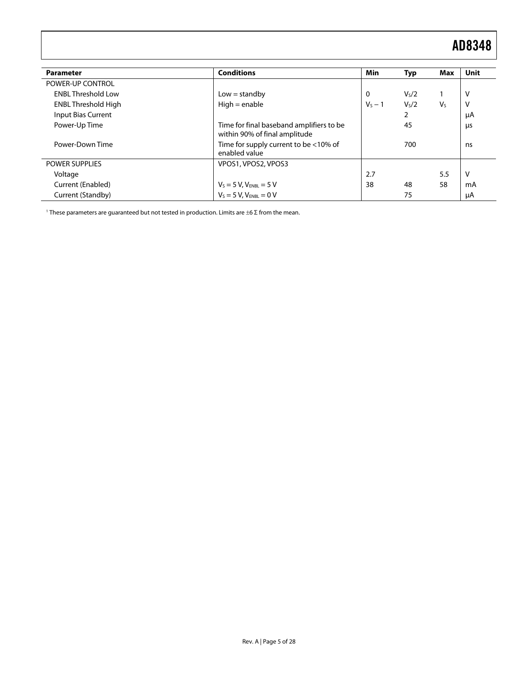<span id="page-4-0"></span>

| <b>Parameter</b>           | <b>Conditions</b>                                                         | Min       | Typ               | Max            | Unit |
|----------------------------|---------------------------------------------------------------------------|-----------|-------------------|----------------|------|
| POWER-UP CONTROL           |                                                                           |           |                   |                |      |
| <b>ENBL Threshold Low</b>  | $Low = standard$                                                          | $\Omega$  | V <sub>s</sub> /2 |                | V    |
| <b>ENBL Threshold High</b> | $High = enable$                                                           | $V_s - 1$ | V <sub>s</sub> /2 | V <sub>S</sub> | V    |
| <b>Input Bias Current</b>  |                                                                           |           | 2                 |                | μA   |
| Power-Up Time              | Time for final baseband amplifiers to be<br>within 90% of final amplitude |           | 45                |                | μs   |
| Power-Down Time            | Time for supply current to be <10% of<br>enabled value                    |           | 700               |                | ns   |
| <b>POWER SUPPLIES</b>      | VPOS1, VPOS2, VPOS3                                                       |           |                   |                |      |
| Voltage                    |                                                                           | 2.7       |                   | 5.5            | V    |
| Current (Enabled)          |                                                                           | 38        | 48                | 58             | mA   |
| Current (Standby)          | $V_s = 5 V, V_{ENBL} = 5 V$<br>$V_s = 5 V, V_{ENBL} = 0 V$                |           | 75                |                | μA   |

<sup>1</sup> These parameters are guaranteed but not tested in production. Limits are  $±6$  Σ from the mean.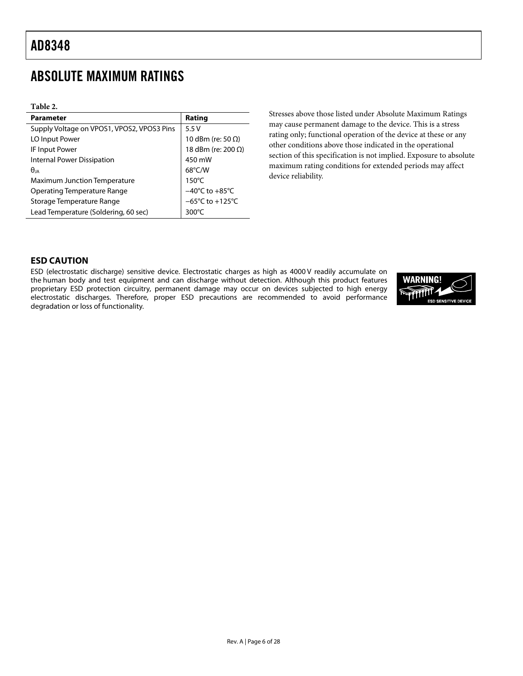## <span id="page-5-0"></span>ABSOLUTE MAXIMUM RATINGS

#### **Table 2.**

| <b>Parameter</b>                           | Rating                               |
|--------------------------------------------|--------------------------------------|
| Supply Voltage on VPOS1, VPOS2, VPOS3 Pins | 5.5V                                 |
| LO Input Power                             | 10 dBm (re: 50 $\Omega$ )            |
| IF Input Power                             | 18 dBm (re: 200 $\Omega$ )           |
| Internal Power Dissipation                 | 450 mW                               |
| $\theta$ ia                                | $68^{\circ}$ C/W                     |
| <b>Maximum Junction Temperature</b>        | $150^{\circ}$ C                      |
| Operating Temperature Range                | $-40^{\circ}$ C to $+85^{\circ}$ C   |
| Storage Temperature Range                  | $-65^{\circ}$ C to +125 $^{\circ}$ C |
| Lead Temperature (Soldering, 60 sec)       | $300^{\circ}$ C                      |

Stresses above those listed under Absolute Maximum Ratings may cause permanent damage to the device. This is a stress rating only; functional operation of the device at these or any other conditions above those indicated in the operational section of this specification is not implied. Exposure to absolute maximum rating conditions for extended periods may affect device reliability.

### **ESD CAUTION**

ESD (electrostatic discharge) sensitive device. Electrostatic charges as high as 4000 V readily accumulate on the human body and test equipment and can discharge without detection. Although this product features proprietary ESD protection circuitry, permanent damage may occur on devices subjected to high energy electrostatic discharges. Therefore, proper ESD precautions are recommended to avoid performance degradation or loss of functionality.

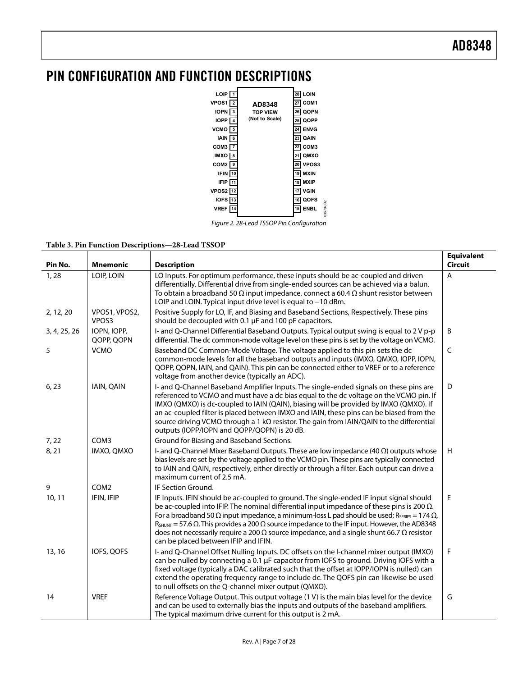### <span id="page-6-0"></span>PIN CONFIGURATION AND FUNCTION DESCRIPTIONS



Figure 2. 28-Lead TSSOP Pin Configuration

03678-002

#### **Table 3. Pin Function Descriptions—28-Lead TSSOP**

| Pin No.      | <b>Mnemonic</b>           | <b>Description</b>                                                                                                                                                                                                                                                                                                                                                                                                                                                                                                                                                                                   | <b>Equivalent</b><br><b>Circuit</b> |
|--------------|---------------------------|------------------------------------------------------------------------------------------------------------------------------------------------------------------------------------------------------------------------------------------------------------------------------------------------------------------------------------------------------------------------------------------------------------------------------------------------------------------------------------------------------------------------------------------------------------------------------------------------------|-------------------------------------|
| 1,28         | LOIP, LOIN                | LO Inputs. For optimum performance, these inputs should be ac-coupled and driven<br>differentially. Differential drive from single-ended sources can be achieved via a balun.<br>To obtain a broadband 50 $\Omega$ input impedance, connect a 60.4 $\Omega$ shunt resistor between<br>LOIP and LOIN. Typical input drive level is equal to -10 dBm.                                                                                                                                                                                                                                                  | A                                   |
| 2, 12, 20    | VPOS1, VPOS2,<br>VPOS3    | Positive Supply for LO, IF, and Biasing and Baseband Sections, Respectively. These pins<br>should be decoupled with 0.1 µF and 100 pF capacitors.                                                                                                                                                                                                                                                                                                                                                                                                                                                    |                                     |
| 3, 4, 25, 26 | IOPN, IOPP,<br>QOPP, QOPN | I- and Q-Channel Differential Baseband Outputs. Typical output swing is equal to 2 V p-p<br>differential. The dc common-mode voltage level on these pins is set by the voltage on VCMO.                                                                                                                                                                                                                                                                                                                                                                                                              | B                                   |
| 5            | <b>VCMO</b>               | Baseband DC Common-Mode Voltage. The voltage applied to this pin sets the dc<br>common-mode levels for all the baseband outputs and inputs (IMXO, QMXO, IOPP, IOPN,<br>QOPP, QOPN, IAIN, and QAIN). This pin can be connected either to VREF or to a reference<br>voltage from another device (typically an ADC).                                                                                                                                                                                                                                                                                    | C                                   |
| 6, 23        | <b>IAIN, QAIN</b>         | I- and Q-Channel Baseband Amplifier Inputs. The single-ended signals on these pins are<br>referenced to VCMO and must have a dc bias equal to the dc voltage on the VCMO pin. If<br>IMXO (QMXO) is dc-coupled to IAIN (QAIN), biasing will be provided by IMXO (QMXO). If<br>an ac-coupled filter is placed between IMXO and IAIN, these pins can be biased from the<br>source driving VCMO through a 1 $k\Omega$ resistor. The gain from IAIN/QAIN to the differential<br>outputs (IOPP/IOPN and QOPP/QOPN) is 20 dB.                                                                               | D                                   |
| 7,22         | COM3                      | Ground for Biasing and Baseband Sections.                                                                                                                                                                                                                                                                                                                                                                                                                                                                                                                                                            |                                     |
| 8, 21        | IMXO, QMXO                | I- and Q-Channel Mixer Baseband Outputs. These are low impedance $(40 \Omega)$ outputs whose<br>bias levels are set by the voltage applied to the VCMO pin. These pins are typically connected<br>to IAIN and QAIN, respectively, either directly or through a filter. Each output can drive a<br>maximum current of 2.5 mA.                                                                                                                                                                                                                                                                         | H                                   |
| 9            | COM <sub>2</sub>          | IF Section Ground.                                                                                                                                                                                                                                                                                                                                                                                                                                                                                                                                                                                   |                                     |
| 10, 11       | IFIN, IFIP                | IF Inputs. IFIN should be ac-coupled to ground. The single-ended IF input signal should<br>be ac-coupled into IFIP. The nominal differential input impedance of these pins is 200 $\Omega$ .<br>For a broadband 50 $\Omega$ input impedance, a minimum-loss L pad should be used; R <sub>SERIES</sub> = 174 $\Omega$ ,<br>$R_{\text{SHUNT}}$ = 57.6 $\Omega$ . This provides a 200 $\Omega$ source impedance to the IF input. However, the AD8348<br>does not necessarily require a 200 $\Omega$ source impedance, and a single shunt 66.7 $\Omega$ resistor<br>can be placed between IFIP and IFIN. | E                                   |
| 13, 16       | IOFS, QOFS                | I- and Q-Channel Offset Nulling Inputs. DC offsets on the I-channel mixer output (IMXO)<br>can be nulled by connecting a 0.1 µF capacitor from IOFS to ground. Driving IOFS with a<br>fixed voltage (typically a DAC calibrated such that the offset at IOPP/IOPN is nulled) can<br>extend the operating frequency range to include dc. The QOFS pin can likewise be used<br>to null offsets on the Q-channel mixer output (QMXO).                                                                                                                                                                   | F                                   |
| 14           | <b>VREF</b>               | Reference Voltage Output. This output voltage (1 V) is the main bias level for the device<br>and can be used to externally bias the inputs and outputs of the baseband amplifiers.<br>The typical maximum drive current for this output is 2 mA.                                                                                                                                                                                                                                                                                                                                                     | G                                   |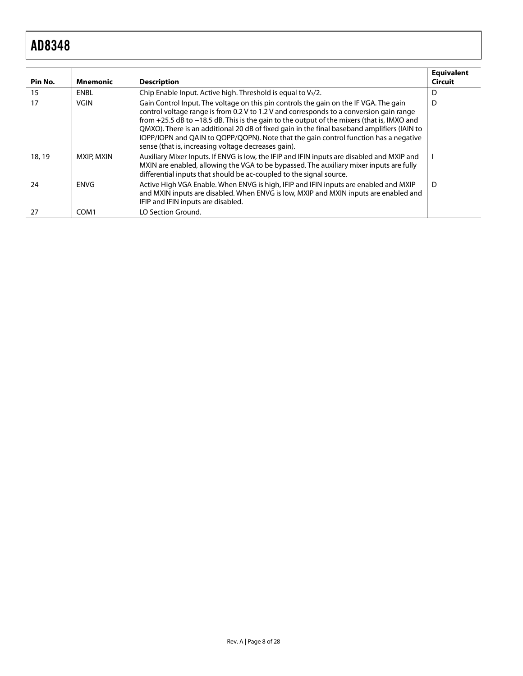| Pin No. | <b>Mnemonic</b>   | <b>Description</b>                                                                                                                                                                                                                                                                                                                                                                                                                                                                                                           | <b>Equivalent</b><br><b>Circuit</b> |
|---------|-------------------|------------------------------------------------------------------------------------------------------------------------------------------------------------------------------------------------------------------------------------------------------------------------------------------------------------------------------------------------------------------------------------------------------------------------------------------------------------------------------------------------------------------------------|-------------------------------------|
| 15      | ENBL              | Chip Enable Input. Active high. Threshold is equal to Vs/2.                                                                                                                                                                                                                                                                                                                                                                                                                                                                  | D                                   |
| 17      | <b>VGIN</b>       | Gain Control Input. The voltage on this pin controls the gain on the IF VGA. The gain<br>control voltage range is from 0.2 V to 1.2 V and corresponds to a conversion gain range<br>from +25.5 dB to -18.5 dB. This is the gain to the output of the mixers (that is, IMXO and<br>QMXO). There is an additional 20 dB of fixed gain in the final baseband amplifiers (IAIN to<br>IOPP/IOPN and QAIN to QOPP/QOPN). Note that the gain control function has a negative<br>sense (that is, increasing voltage decreases gain). | D                                   |
| 18, 19  | <b>MXIP, MXIN</b> | Auxiliary Mixer Inputs. If ENVG is low, the IFIP and IFIN inputs are disabled and MXIP and<br>MXIN are enabled, allowing the VGA to be bypassed. The auxiliary mixer inputs are fully<br>differential inputs that should be ac-coupled to the signal source.                                                                                                                                                                                                                                                                 |                                     |
| 24      | <b>FNVG</b>       | Active High VGA Enable. When ENVG is high, IFIP and IFIN inputs are enabled and MXIP<br>and MXIN inputs are disabled. When ENVG is low, MXIP and MXIN inputs are enabled and<br>IFIP and IFIN inputs are disabled.                                                                                                                                                                                                                                                                                                           | D                                   |
| 27      | COM1              | LO Section Ground.                                                                                                                                                                                                                                                                                                                                                                                                                                                                                                           |                                     |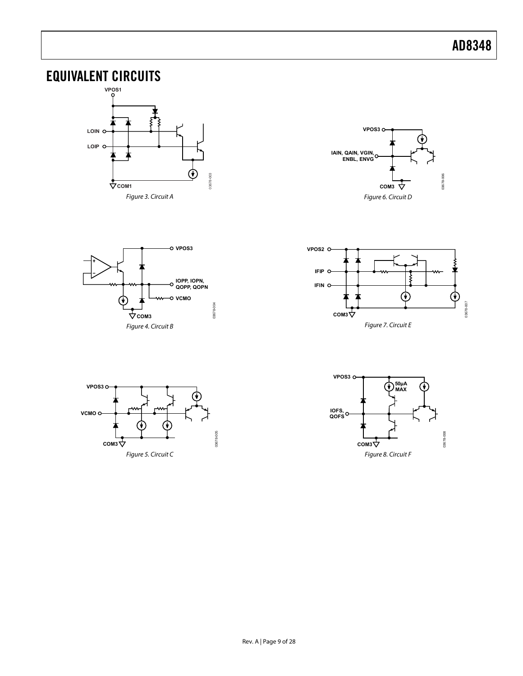## <span id="page-8-0"></span>EQUIVALENT CIRCUITS





![](_page_8_Figure_4.jpeg)

![](_page_8_Figure_5.jpeg)

![](_page_8_Figure_6.jpeg)

![](_page_8_Figure_7.jpeg)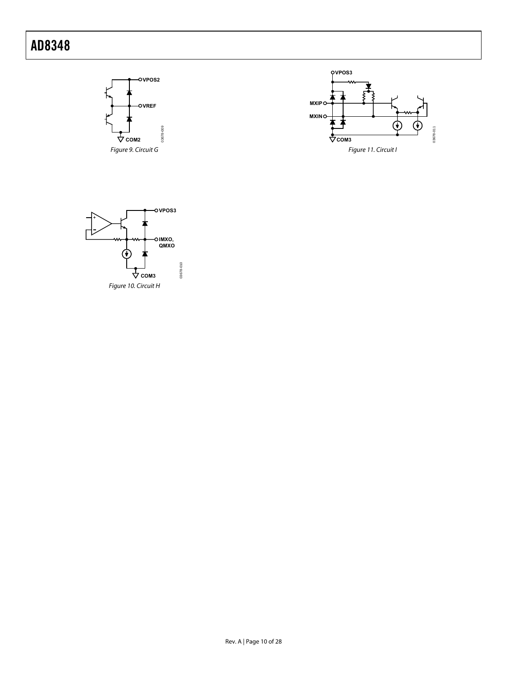![](_page_9_Figure_1.jpeg)

![](_page_9_Figure_2.jpeg)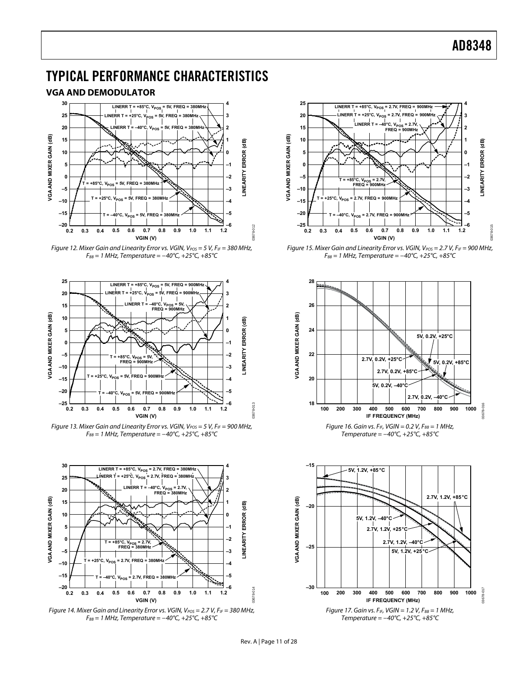## <span id="page-10-0"></span>TYPICAL PERFORMANCE CHARACTERISTICS

#### **VGA AND DEMODULATOR**

![](_page_10_Figure_3.jpeg)

![](_page_10_Figure_4.jpeg)

![](_page_10_Figure_5.jpeg)

Figure 13. Mixer Gain and Linearity Error vs. VGIN,  $V_{POS} = 5 V$ ,  $F_{IF} = 900$  MHz,  $F_{BB}$  = 1 MHz, Temperature = -40°C, +25°C, +85°C

![](_page_10_Figure_7.jpeg)

![](_page_10_Figure_8.jpeg)

![](_page_10_Figure_9.jpeg)

Figure 15. Mixer Gain and Linearity Error vs. VGIN,  $V_{POS} = 2.7 V$ ,  $F_{IF} = 900$  MHz,  $F_{BB} = 1$  MHz, Temperature =  $-40^{\circ}C$ , +25 $^{\circ}C$ , +85 $^{\circ}C$ 

![](_page_10_Figure_11.jpeg)

Temperature = −40°C, +25°C, +85°C

![](_page_10_Figure_13.jpeg)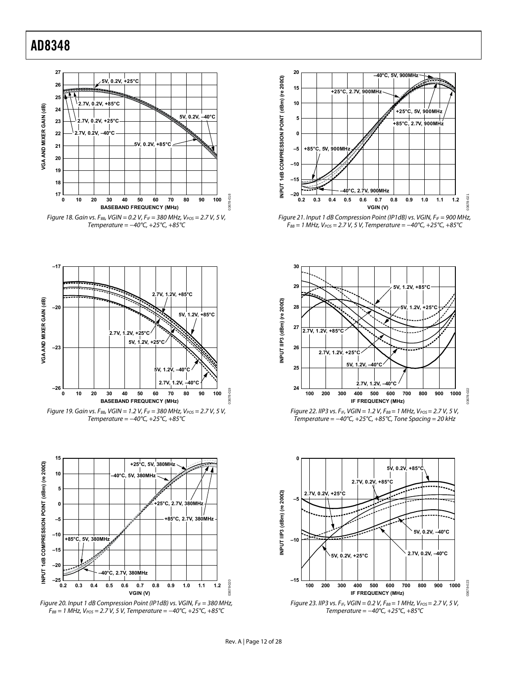![](_page_11_Figure_1.jpeg)

![](_page_11_Figure_2.jpeg)

![](_page_11_Figure_3.jpeg)

![](_page_11_Figure_4.jpeg)

![](_page_11_Figure_5.jpeg)

![](_page_11_Figure_6.jpeg)

![](_page_11_Figure_7.jpeg)

Figure 21. Input 1 dB Compression Point (IP1dB) vs. VGIN,  $F_{IF} = 900$  MHz,  $F_{BB}$  = 1 MHz,  $V_{POS}$  = 2.7 V, 5 V, Temperature = -40°C, +25°C, +85°C

![](_page_11_Figure_9.jpeg)

Figure 22. IIP3 vs. F<sub>IF</sub>, VGIN = 1.2 V, F<sub>BB</sub> = 1 MHz, V<sub>POS</sub> = 2.7 V, 5 V, Temperature =  $-40^{\circ}$ C, +25 $^{\circ}$ C, +85 $^{\circ}$ C, Tone Spacing = 20 kHz

![](_page_11_Figure_11.jpeg)

03678-020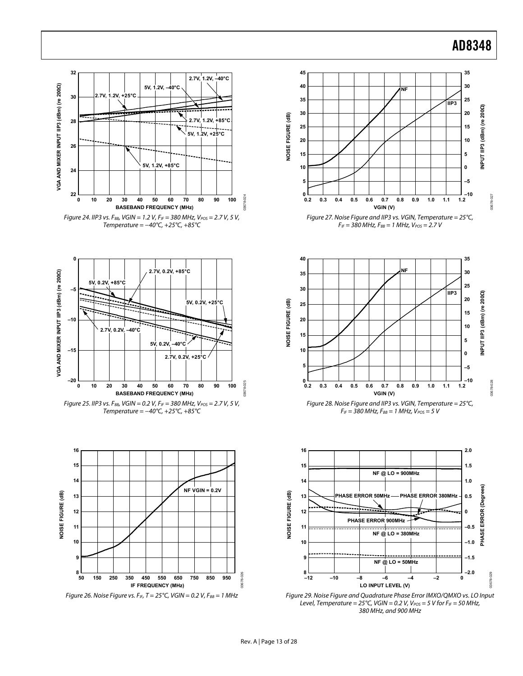![](_page_12_Figure_1.jpeg)

![](_page_12_Figure_2.jpeg)

Temperature = −40°C, +25°C, +85°C

![](_page_12_Figure_4.jpeg)

Figure 26. Noise Figure vs. F<sub>IF</sub>, T = 25°C, VGIN = 0.2 V, F<sub>BB</sub> = 1 MHz

![](_page_12_Figure_6.jpeg)

![](_page_12_Figure_7.jpeg)

![](_page_12_Figure_8.jpeg)

![](_page_12_Figure_9.jpeg)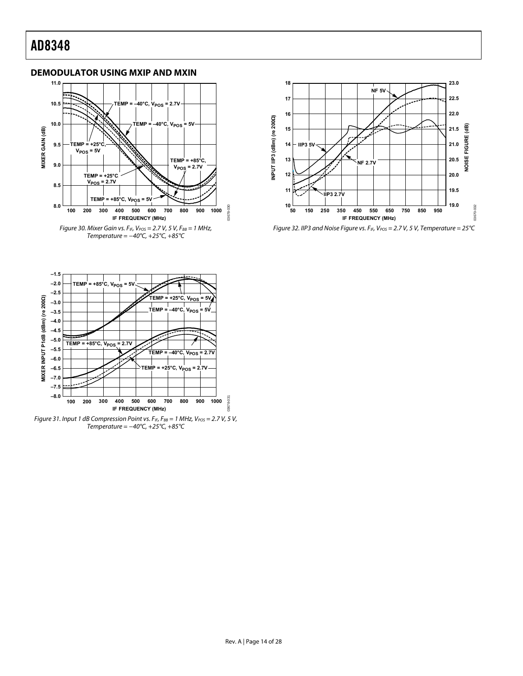### <span id="page-13-0"></span>**DEMODULATOR USING MXIP AND MXIN**

![](_page_13_Figure_2.jpeg)

![](_page_13_Figure_3.jpeg)

Figure 32. IIP3 and Noise Figure vs.  $F_{IF}$ ,  $V_{POS} = 2.7$  V, 5 V, Temperature = 25°C

![](_page_13_Figure_5.jpeg)

Figure 31. Input 1 dB Compression Point vs.  $F_{IF}$ ,  $F_{BB} = 1$  MHz,  $V_{POS} = 2.7$  V, 5 V, Temperature =  $-40^{\circ}$ C,  $+25^{\circ}$ C,  $+85^{\circ}$ C

03678-031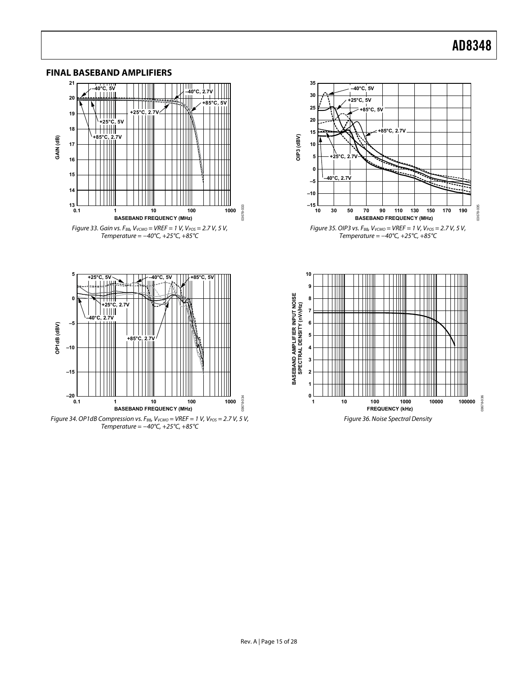03678-035

13678-035

03678-036

3678-036

![](_page_14_Figure_1.jpeg)

#### <span id="page-14-0"></span>**FINAL BASEBAND AMPLIFIERS**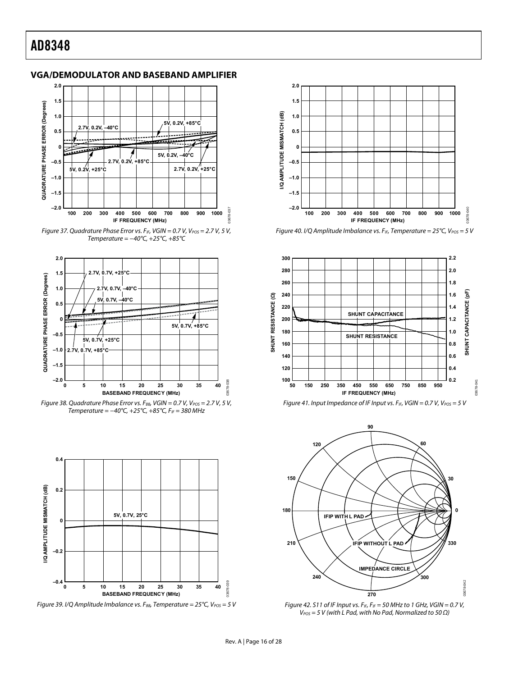#### <span id="page-15-0"></span>**VGA/DEMODULATOR AND BASEBAND AMPLIFIER**

![](_page_15_Figure_2.jpeg)

Figure 37. Quadrature Phase Error vs. F<sub>IF</sub>, VGIN = 0.7 V, V<sub>POS</sub> = 2.7 V, 5 V, Temperature = −40°C, +25°C, +85°C

![](_page_15_Figure_4.jpeg)

Figure 38. Quadrature Phase Error vs. F<sub>BB</sub>, VGIN = 0.7 V, V<sub>POS</sub> = 2.7 V, 5 V, Temperature =  $-40^{\circ}$ C,  $+25^{\circ}$ C,  $+85^{\circ}$ C,  $F_{IF}$  = 380 MHz

![](_page_15_Figure_6.jpeg)

<span id="page-15-1"></span>Figure 39. I/Q Amplitude Imbalance vs. F<sub>BB</sub>, Temperature = 25°C, V<sub>POS</sub> = 5 V

![](_page_15_Figure_8.jpeg)

Figure 40. I/Q Amplitude Imbalance vs. F<sub>IF</sub>, Temperature = 25°C, V<sub>POS</sub> = 5 V

![](_page_15_Figure_10.jpeg)

![](_page_15_Figure_11.jpeg)

![](_page_15_Figure_12.jpeg)

Figure 42. S11 of IF Input vs.  $F_{IF}$ ,  $F_{IF}$  = 50 MHz to 1 GHz, VGIN = 0.7 V,  $V_{POS}$  = 5 V (with L Pad, with No Pad, Normalized to 50  $\Omega$ )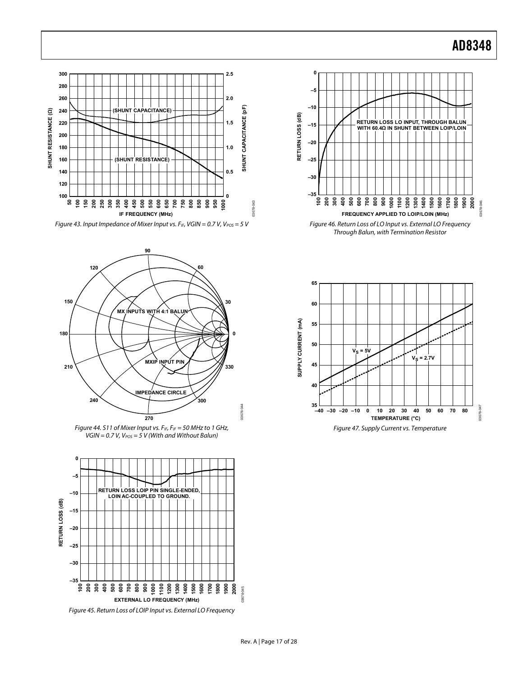![](_page_16_Figure_1.jpeg)

Figure 43. Input Impedance of Mixer Input vs. F<sub>IF</sub>, VGIN = 0.7 V, V<sub>POS</sub> = 5 V

![](_page_16_Figure_3.jpeg)

Figure 44. S11 of Mixer Input vs.  $F_{IF}$ ,  $F_{IF}$  = 50 MHz to 1 GHz,  $VGIN = 0.7 V, V<sub>POS</sub> = 5 V (With and Without Balun)$ 

![](_page_16_Figure_5.jpeg)

Figure 45. Return Loss of LOIP Input vs. External LO Frequency

![](_page_16_Figure_7.jpeg)

![](_page_16_Figure_8.jpeg)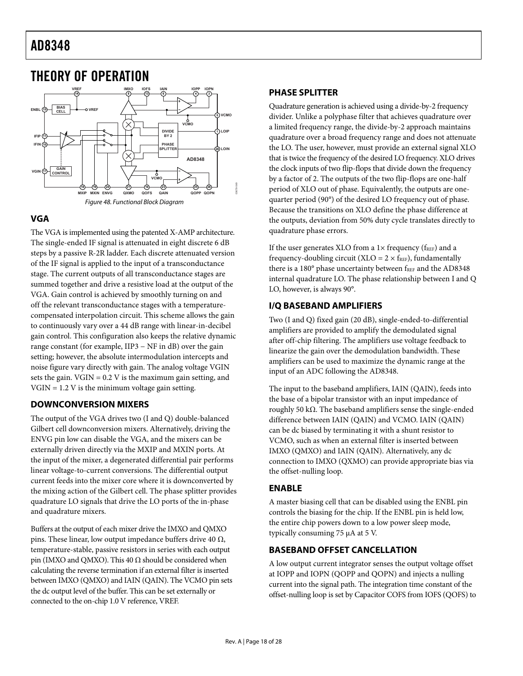![](_page_17_Figure_1.jpeg)

### <span id="page-17-0"></span>THEORY OF OPERATION

### **VGA**

The VGA is implemented using the patented X-AMP architecture. The single-ended IF signal is attenuated in eight discrete 6 dB steps by a passive R-2R ladder. Each discrete attenuated version of the IF signal is applied to the input of a transconductance stage. The current outputs of all transconductance stages are summed together and drive a resistive load at the output of the VGA. Gain control is achieved by smoothly turning on and off the relevant transconductance stages with a temperaturecompensated interpolation circuit. This scheme allows the gain to continuously vary over a 44 dB range with linear-in-decibel gain control. This configuration also keeps the relative dynamic range constant (for example, IIP3 − NF in dB) over the gain setting; however, the absolute intermodulation intercepts and noise figure vary directly with gain. The analog voltage VGIN sets the gain.  $VGIN = 0.2 V$  is the maximum gain setting, and  $VGIN = 1.2 V$  is the minimum voltage gain setting.

### **DOWNCONVERSION MIXERS**

The output of the VGA drives two (I and Q) double-balanced Gilbert cell downconversion mixers. Alternatively, driving the ENVG pin low can disable the VGA, and the mixers can be externally driven directly via the MXIP and MXIN ports. At the input of the mixer, a degenerated differential pair performs linear voltage-to-current conversions. The differential output current feeds into the mixer core where it is downconverted by the mixing action of the Gilbert cell. The phase splitter provides quadrature LO signals that drive the LO ports of the in-phase and quadrature mixers.

Buffers at the output of each mixer drive the IMXO and QMXO pins. These linear, low output impedance buffers drive 40  $\Omega$ , temperature-stable, passive resistors in series with each output pin (IMXO and QMXO). This 40  $\Omega$  should be considered when calculating the reverse termination if an external filter is inserted between IMXO (QMXO) and IAIN (QAIN). The VCMO pin sets the dc output level of the buffer. This can be set externally or connected to the on-chip 1.0 V reference, VREF.

### **PHASE SPLITTER**

Quadrature generation is achieved using a divide-by-2 frequency divider. Unlike a polyphase filter that achieves quadrature over a limited frequency range, the divide-by-2 approach maintains quadrature over a broad frequency range and does not attenuate the LO. The user, however, must provide an external signal XLO that is twice the frequency of the desired LO frequency. XLO drives the clock inputs of two flip-flops that divide down the frequency by a factor of 2. The outputs of the two flip-flops are one-half period of XLO out of phase. Equivalently, the outputs are onequarter period (90°) of the desired LO frequency out of phase. Because the transitions on XLO define the phase difference at the outputs, deviation from 50% duty cycle translates directly to quadrature phase errors.

If the user generates XLO from a  $1\times$  frequency ( $f_{REF}$ ) and a frequency-doubling circuit (XLO =  $2 \times f_{REF}$ ), fundamentally there is a 180° phase uncertainty between fREF and the AD8348 internal quadrature LO. The phase relationship between I and Q LO, however, is always 90°.

### **I/Q BASEBAND AMPLIFIERS**

Two (I and Q) fixed gain (20 dB), single-ended-to-differential amplifiers are provided to amplify the demodulated signal after off-chip filtering. The amplifiers use voltage feedback to linearize the gain over the demodulation bandwidth. These amplifiers can be used to maximize the dynamic range at the input of an ADC following the AD8348.

The input to the baseband amplifiers, IAIN (QAIN), feeds into the base of a bipolar transistor with an input impedance of roughly 50 kΩ. The baseband amplifiers sense the single-ended difference between IAIN (QAIN) and VCMO. IAIN (QAIN) can be dc biased by terminating it with a shunt resistor to VCMO, such as when an external filter is inserted between IMXO (QMXO) and IAIN (QAIN). Alternatively, any dc connection to IMXO (QXMO) can provide appropriate bias via the offset-nulling loop.

### **ENABLE**

A master biasing cell that can be disabled using the ENBL pin controls the biasing for the chip. If the ENBL pin is held low, the entire chip powers down to a low power sleep mode, typically consuming 75 μA at 5 V.

### **BASEBAND OFFSET CANCELLATION**

A low output current integrator senses the output voltage offset at IOPP and IOPN (QOPP and QOPN) and injects a nulling current into the signal path. The integration time constant of the offset-nulling loop is set by Capacitor COFS from IOFS (QOFS) to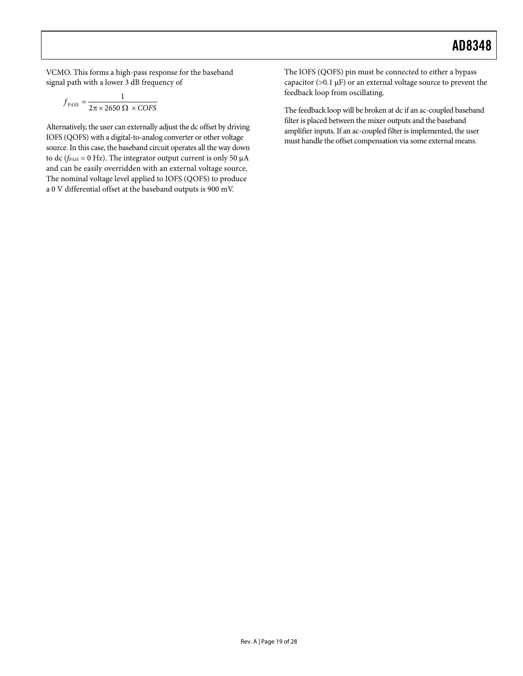VCMO. This forms a high-pass response for the baseband signal path with a lower 3 dB frequency of

$$
f_{PASS} = \frac{1}{2\pi \times 2650 \ \Omega \times COFS}
$$

Alternatively, the user can externally adjust the dc offset by driving IOFS (QOFS) with a digital-to-analog converter or other voltage source. In this case, the baseband circuit operates all the way down to dc (*fPASS* = 0 Hz). The integrator output current is only 50 μA and can be easily overridden with an external voltage source. The nominal voltage level applied to IOFS (QOFS) to produce a 0 V differential offset at the baseband outputs is 900 mV.

The IOFS (QOFS) pin must be connected to either a bypass capacitor ( $>0.1 \mu$ F) or an external voltage source to prevent the feedback loop from oscillating.

The feedback loop will be broken at dc if an ac-coupled baseband filter is placed between the mixer outputs and the baseband amplifier inputs. If an ac-coupled filter is implemented, the user must handle the offset compensation via some external means.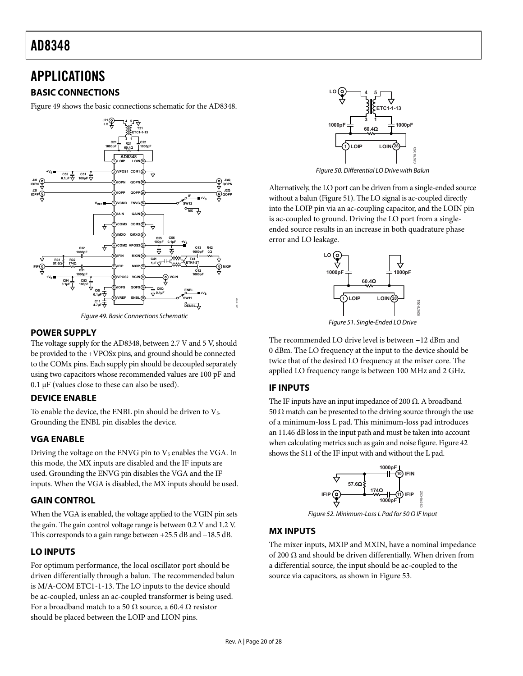## <span id="page-19-0"></span>APPLICATIONS

### **BASIC CONNECTIONS**

[Figure 49](#page-19-1) shows the basic connections schematic for the AD8348.

![](_page_19_Figure_4.jpeg)

### <span id="page-19-2"></span><span id="page-19-1"></span>**POWER SUPPLY**

The voltage supply for the AD8348, between 2.7 V and 5 V, should be provided to the +VPOSx pins, and ground should be connected to the COMx pins. Each supply pin should be decoupled separately using two capacitors whose recommended values are 100 pF and 0.1  $\mu$ F (values close to these can also be used).

### **DEVICE ENABLE**

To enable the device, the ENBL pin should be driven to  $V_s$ . Grounding the ENBL pin disables the device.

### **VGA ENABLE**

Driving the voltage on the ENVG pin to  $V<sub>S</sub>$  enables the VGA. In this mode, the MX inputs are disabled and the IF inputs are used. Grounding the ENVG pin disables the VGA and the IF inputs. When the VGA is disabled, the MX inputs should be used.

### **GAIN CONTROL**

When the VGA is enabled, the voltage applied to the VGIN pin sets the gain. The gain control voltage range is between 0.2 V and 1.2 V. This corresponds to a gain range between +25.5 dB and −18.5 dB.

### **LO INPUTS**

For optimum performance, the local oscillator port should be driven differentially through a balun. The recommended balun is M/A-COM ETC1-1-13. The LO inputs to the device should be ac-coupled, unless an ac-coupled transformer is being used. For a broadband match to a 50  $\Omega$  source, a 60.4  $\Omega$  resistor should be placed between the LOIP and LION pins.

![](_page_19_Figure_15.jpeg)

Figure 50. Differential LO Drive with Balun

Alternatively, the LO port can be driven from a single-ended source without a balun ([Figure 51](#page-19-2)). The LO signal is ac-coupled directly into the LOIP pin via an ac-coupling capacitor, and the LOIN pin is ac-coupled to ground. Driving the LO port from a singleended source results in an increase in both quadrature phase error and LO leakage.

![](_page_19_Figure_18.jpeg)

The recommended LO drive level is between −12 dBm and 0 dBm. The LO frequency at the input to the device should be twice that of the desired LO frequency at the mixer core. The applied LO frequency range is between 100 MHz and 2 GHz.

### **IF INPUTS**

The IF inputs have an input impedance of 200  $\Omega$ . A broadband 50  $Ω$  match can be presented to the driving source through the use of a minimum-loss L pad. This minimum-loss pad introduces an 11.46 dB loss in the input path and must be taken into account when calculating metrics such as gain and noise figure. [Figure 42](#page-15-1) shows the S11 of the IF input with and without the L pad.

![](_page_19_Figure_22.jpeg)

Figure 52. Minimum-Loss L Pad for 50 Ω IF Input

### **MX INPUTS**

The mixer inputs, MXIP and MXIN, have a nominal impedance of 200 Ω and should be driven differentially. When driven from a differential source, the input should be ac-coupled to the source via capacitors, as shown in [Figure 53](#page-20-1).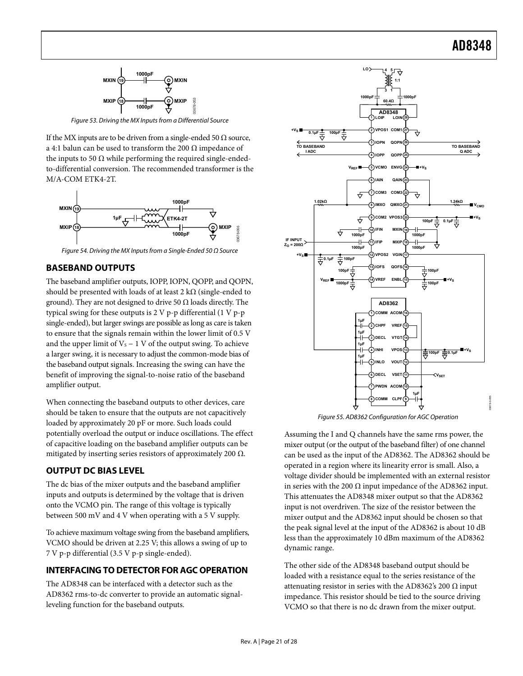<span id="page-20-0"></span>![](_page_20_Figure_1.jpeg)

Figure 53. Driving the MX Inputs from a Differential Source

<span id="page-20-1"></span>If the MX inputs are to be driven from a single-ended 50  $\Omega$  source, a 4:1 balun can be used to transform the 200  $\Omega$  impedance of the inputs to 50  $\Omega$  while performing the required single-endedto-differential conversion. The recommended transformer is the M/A-COM ETK4-2T.

![](_page_20_Figure_4.jpeg)

**BASEBAND OUTPUTS** 

The baseband amplifier outputs, IOPP, IOPN, QOPP, and QOPN, should be presented with loads of at least 2 k $\Omega$  (single-ended to ground). They are not designed to drive 50  $\Omega$  loads directly. The typical swing for these outputs is 2 V p-p differential (1 V p-p single-ended), but larger swings are possible as long as care is taken to ensure that the signals remain within the lower limit of 0.5 V and the upper limit of  $V_s - 1$  V of the output swing. To achieve a larger swing, it is necessary to adjust the common-mode bias of the baseband output signals. Increasing the swing can have the benefit of improving the signal-to-noise ratio of the baseband amplifier output.

When connecting the baseband outputs to other devices, care should be taken to ensure that the outputs are not capacitively loaded by approximately 20 pF or more. Such loads could potentially overload the output or induce oscillations. The effect of capacitive loading on the baseband amplifier outputs can be mitigated by inserting series resistors of approximately 200  $\Omega$ .

### **OUTPUT DC BIAS LEVEL**

The dc bias of the mixer outputs and the baseband amplifier inputs and outputs is determined by the voltage that is driven onto the VCMO pin. The range of this voltage is typically between 500 mV and 4 V when operating with a 5 V supply.

To achieve maximum voltage swing from the baseband amplifiers, VCMO should be driven at 2.25 V; this allows a swing of up to 7 V p-p differential (3.5 V p-p single-ended).

### **INTERFACING TO DETECTOR FOR AGC OPERATION**

The AD8348 can be interfaced with a detector such as the AD8362 rms-to-dc converter to provide an automatic signalleveling function for the baseband outputs.

![](_page_20_Figure_13.jpeg)

Figure 55. AD8362 Configuration for AGC Operation

Assuming the I and Q channels have the same rms power, the mixer output (or the output of the baseband filter) of one channel can be used as the input of the AD8362. The AD8362 should be operated in a region where its linearity error is small. Also, a voltage divider should be implemented with an external resistor in series with the 200  $\Omega$  input impedance of the AD8362 input. This attenuates the AD8348 mixer output so that the AD8362 input is not overdriven. The size of the resistor between the mixer output and the AD8362 input should be chosen so that the peak signal level at the input of the AD8362 is about 10 dB less than the approximately 10 dBm maximum of the AD8362 dynamic range.

The other side of the AD8348 baseband output should be loaded with a resistance equal to the series resistance of the attenuating resistor in series with the AD8362's 200  $\Omega$  input impedance. This resistor should be tied to the source driving VCMO so that there is no dc drawn from the mixer output.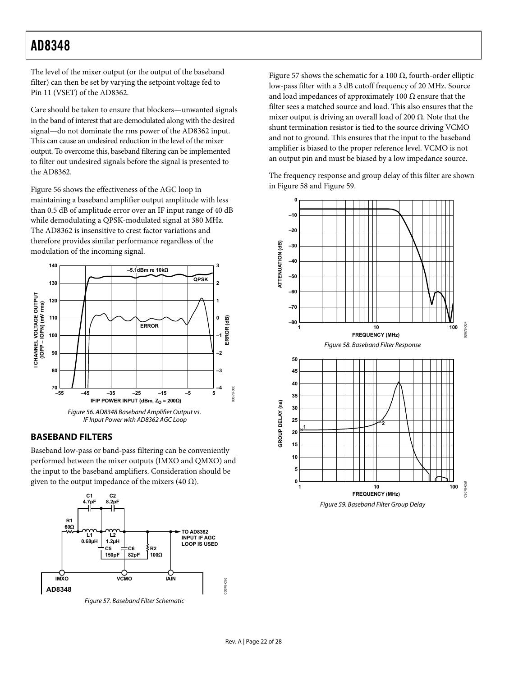<span id="page-21-0"></span>The level of the mixer output (or the output of the baseband filter) can then be set by varying the setpoint voltage fed to Pin 11 (VSET) of the AD8362.

Care should be taken to ensure that blockers—unwanted signals in the band of interest that are demodulated along with the desired signal—do not dominate the rms power of the AD8362 input. This can cause an undesired reduction in the level of the mixer output. To overcome this, baseband filtering can be implemented to filter out undesired signals before the signal is presented to the AD8362.

[Figure 56](#page-21-1) shows the effectiveness of the AGC loop in maintaining a baseband amplifier output amplitude with less than 0.5 dB of amplitude error over an IF input range of 40 dB while demodulating a QPSK-modulated signal at 380 MHz. The AD8362 is insensitive to crest factor variations and therefore provides similar performance regardless of the modulation of the incoming signal.

<span id="page-21-3"></span>![](_page_21_Figure_4.jpeg)

![](_page_21_Figure_5.jpeg)

### <span id="page-21-1"></span>**BASEBAND FILTERS**

Baseband low-pass or band-pass filtering can be conveniently performed between the mixer outputs (IMXO and QMXO) and the input to the baseband amplifiers. Consideration should be given to the output impedance of the mixers (40  $\Omega$ ).

<span id="page-21-4"></span>![](_page_21_Figure_8.jpeg)

<span id="page-21-2"></span>Figure 57. Baseband Filter Schematic

[Figure 57](#page-21-2) shows the schematic for a 100  $\Omega$ , fourth-order elliptic low-pass filter with a 3 dB cutoff frequency of 20 MHz. Source and load impedances of approximately 100  $\Omega$  ensure that the filter sees a matched source and load. This also ensures that the mixer output is driving an overall load of 200  $\Omega$ . Note that the shunt termination resistor is tied to the source driving VCMO and not to ground. This ensures that the input to the baseband amplifier is biased to the proper reference level. VCMO is not an output pin and must be biased by a low impedance source.

The frequency response and group delay of this filter are shown in [Figure 58](#page-21-3) and [Figure 59](#page-21-4).

![](_page_21_Figure_12.jpeg)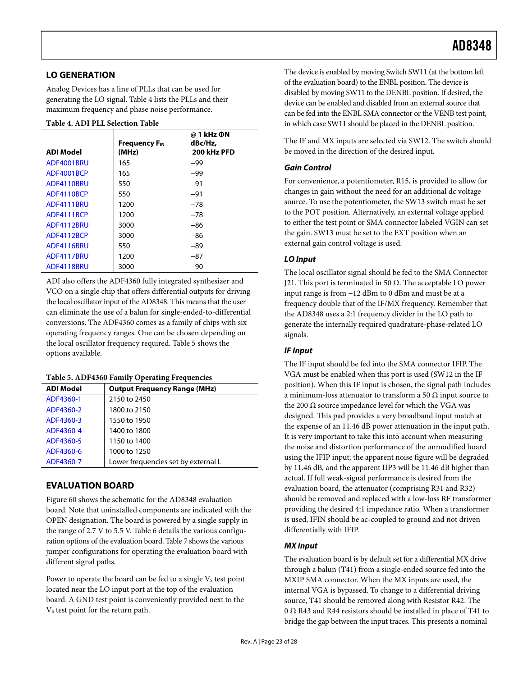### <span id="page-22-0"></span>**LO GENERATION**

Analog Devices has a line of PLLs that can be used for generating the LO signal. [Table 4](#page-22-1) lists the PLLs and their maximum frequency and phase noise performance.

|  |  |  | Table 4. ADI PLL Selection Table |  |
|--|--|--|----------------------------------|--|
|--|--|--|----------------------------------|--|

<span id="page-22-1"></span>

| <b>ADI Model</b> | <b>Frequency F<sub>IN</sub></b><br>(MHz) | @ 1 kHz ΦN<br>dBc/Hz,<br>200 kHz PFD |
|------------------|------------------------------------------|--------------------------------------|
| ADF4001BRU       | 165                                      | $-99$                                |
| ADF4001BCP       | 165                                      | $-99$                                |
| ADF4110BRU       | 550                                      | $-91$                                |
| ADF4110BCP       | 550                                      | $-91$                                |
| ADF4111BRU       | 1200                                     | $-78$                                |
| ADF4111BCP       | 1200                                     | $-78$                                |
| ADF4112BRU       | 3000                                     | $-86$                                |
| ADF4112BCP       | 3000                                     | $-86$                                |
| ADF4116BRU       | 550                                      | $-89$                                |
| ADF4117BRU       | 1200                                     | $-87$                                |
| ADF4118BRU       | 3000                                     | $-90$                                |

ADI also offers the ADF4360 fully integrated synthesizer and VCO on a single chip that offers differential outputs for driving the local oscillator input of the AD8348. This means that the user can eliminate the use of a balun for single-ended-to-differential conversions. The ADF4360 comes as a family of chips with six operating frequency ranges. One can be chosen depending on the local oscillator frequency required. [Table 5](#page-22-2) shows the options available.

#### **Table 5. ADF4360 Family Operating Frequencies**

<span id="page-22-2"></span>

| <b>ADI Model</b> | <b>Output Frequency Range (MHz)</b> |
|------------------|-------------------------------------|
| ADF4360-1        | 2150 to 2450                        |
| ADF4360-2        | 1800 to 2150                        |
| ADF4360-3        | 1550 to 1950                        |
| ADF4360-4        | 1400 to 1800                        |
| ADF4360-5        | 1150 to 1400                        |
| ADF4360-6        | 1000 to 1250                        |
| ADF4360-7        | Lower frequencies set by external L |

### **EVALUATION BOARD**

[Figure 60](#page-23-0) shows the schematic for the AD8348 evaluation board. Note that uninstalled components are indicated with the OPEN designation. The board is powered by a single supply in the range of 2.7 V to 5.5 V. [Table 6](#page-26-0) details the various configuration options of the evaluation board. [Table 7](#page-26-1) shows the various jumper configurations for operating the evaluation board with different signal paths.

Power to operate the board can be fed to a single  $V<sub>s</sub>$  test point located near the LO input port at the top of the evaluation board. A GND test point is conveniently provided next to the V<sub>s</sub> test point for the return path.

The device is enabled by moving Switch SW11 (at the bottom left of the evaluation board) to the ENBL position. The device is disabled by moving SW11 to the DENBL position. If desired, the device can be enabled and disabled from an external source that can be fed into the ENBL SMA connector or the VENB test point, in which case SW11 should be placed in the DENBL position.

The IF and MX inputs are selected via SW12. The switch should be moved in the direction of the desired input.

### **Gain Control**

For convenience, a potentiometer, R15, is provided to allow for changes in gain without the need for an additional dc voltage source. To use the potentiometer, the SW13 switch must be set to the POT position. Alternatively, an external voltage applied to either the test point or SMA connector labeled VGIN can set the gain. SW13 must be set to the EXT position when an external gain control voltage is used.

#### **LO Input**

The local oscillator signal should be fed to the SMA Connector J21. This port is terminated in 50  $Ω$ . The acceptable LO power input range is from −12 dBm to 0 dBm and must be at a frequency double that of the IF/MX frequency. Remember that the AD8348 uses a 2:1 frequency divider in the LO path to generate the internally required quadrature-phase-related LO signals.

### **IF Input**

The IF input should be fed into the SMA connector IFIP. The VGA must be enabled when this port is used (SW12 in the IF position). When this IF input is chosen, the signal path includes a minimum-loss attenuator to transform a 50  $\Omega$  input source to the 200  $Ω$  source impedance level for which the VGA was designed. This pad provides a very broadband input match at the expense of an 11.46 dB power attenuation in the input path. It is very important to take this into account when measuring the noise and distortion performance of the unmodified board using the IFIP input; the apparent noise figure will be degraded by 11.46 dB, and the apparent IIP3 will be 11.46 dB higher than actual. If full weak-signal performance is desired from the evaluation board, the attenuator (comprising R31 and R32) should be removed and replaced with a low-loss RF transformer providing the desired 4:1 impedance ratio. When a transformer is used, IFIN should be ac-coupled to ground and not driven differentially with IFIP.

### **MX Input**

The evaluation board is by default set for a differential MX drive through a balun (T41) from a single-ended source fed into the MXIP SMA connector. When the MX inputs are used, the internal VGA is bypassed. To change to a differential driving source, T41 should be removed along with Resistor R42. The 0 Ω R43 and R44 resistors should be installed in place of T41 to bridge the gap between the input traces. This presents a nominal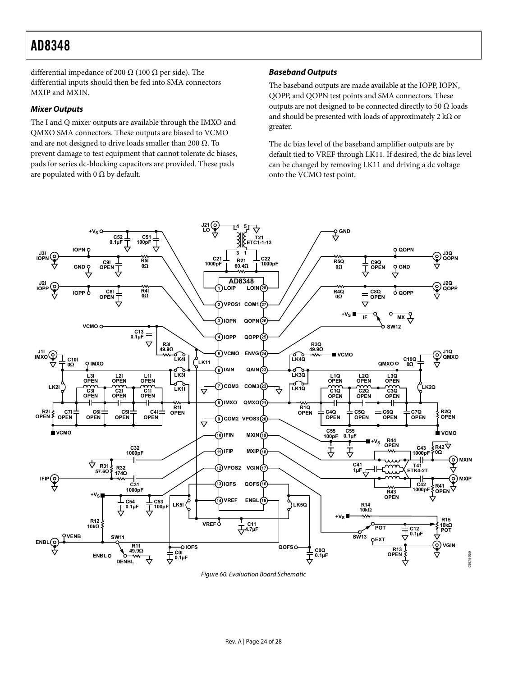differential impedance of 200  $\Omega$  (100  $\Omega$  per side). The differential inputs should then be fed into SMA connectors MXIP and MXIN.

#### **Mixer Outputs**

The I and Q mixer outputs are available through the IMXO and QMXO SMA connectors. These outputs are biased to VCMO and are not designed to drive loads smaller than 200  $\Omega$ . To prevent damage to test equipment that cannot tolerate dc biases, pads for series dc-blocking capacitors are provided. These pads are populated with 0  $\Omega$  by default.

#### **Baseband Outputs**

The baseband outputs are made available at the IOPP, IOPN, QOPP, and QOPN test points and SMA connectors. These outputs are not designed to be connected directly to 50  $\Omega$  loads and should be presented with loads of approximately 2 k $\Omega$  or greater.

The dc bias level of the baseband amplifier outputs are by default tied to VREF through LK11. If desired, the dc bias level can be changed by removing LK11 and driving a dc voltage onto the VCMO test point.

![](_page_23_Figure_7.jpeg)

<span id="page-23-0"></span>Figure 60. Evaluation Board Schematic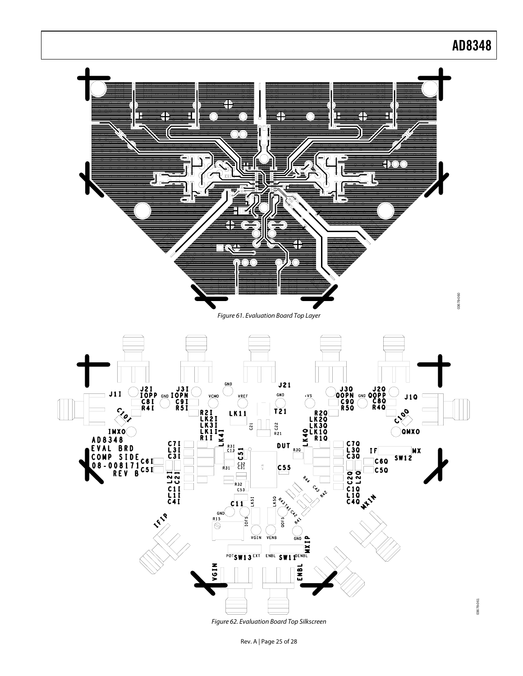![](_page_24_Figure_0.jpeg)

Figure 62. Evaluation Board Top Silkscreen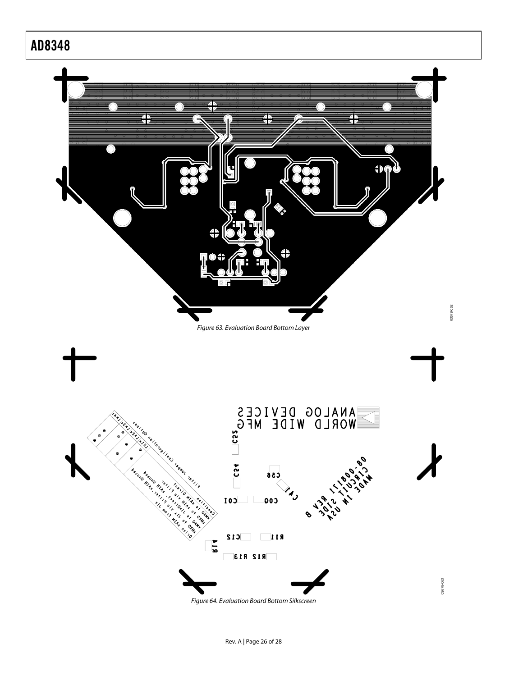![](_page_25_Figure_1.jpeg)

Figure 64. Evaluation Board Bottom Silkscreen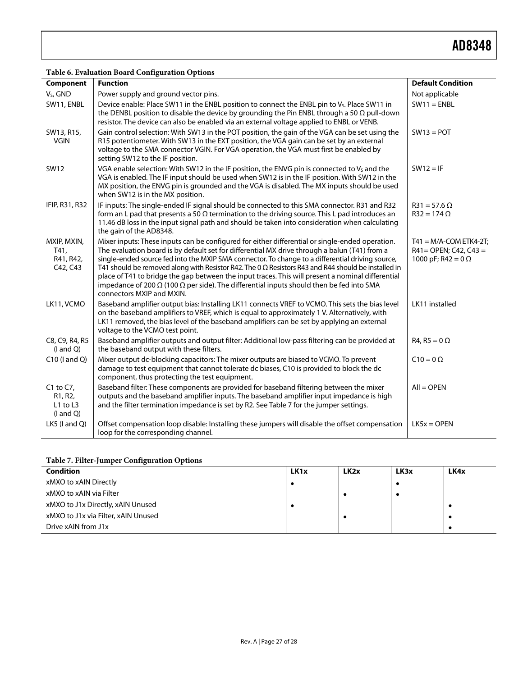### **Table 6. Evaluation Board Configuration Options**

<span id="page-26-0"></span>

| Component                                                                         | <b>Function</b>                                                                                                                                                                                                                                                                                                                                                                                                                                                                                                                                                                                                                                                | <b>Default Condition</b>                                                            |
|-----------------------------------------------------------------------------------|----------------------------------------------------------------------------------------------------------------------------------------------------------------------------------------------------------------------------------------------------------------------------------------------------------------------------------------------------------------------------------------------------------------------------------------------------------------------------------------------------------------------------------------------------------------------------------------------------------------------------------------------------------------|-------------------------------------------------------------------------------------|
| V <sub>s</sub> , GND                                                              | Power supply and ground vector pins.                                                                                                                                                                                                                                                                                                                                                                                                                                                                                                                                                                                                                           | Not applicable                                                                      |
| SW11, ENBL                                                                        | Device enable: Place SW11 in the ENBL position to connect the ENBL pin to Vs. Place SW11 in<br>the DENBL position to disable the device by grounding the Pin ENBL through a 50 $\Omega$ pull-down<br>resistor. The device can also be enabled via an external voltage applied to ENBL or VENB.                                                                                                                                                                                                                                                                                                                                                                 | $SW11 = ENBL$                                                                       |
| SW13, R15,<br><b>VGIN</b>                                                         | Gain control selection: With SW13 in the POT position, the gain of the VGA can be set using the<br>R15 potentiometer. With SW13 in the EXT position, the VGA gain can be set by an external<br>voltage to the SMA connector VGIN. For VGA operation, the VGA must first be enabled by<br>setting SW12 to the IF position.                                                                                                                                                                                                                                                                                                                                      | $SW13 = POT$                                                                        |
| <b>SW12</b>                                                                       | VGA enable selection: With SW12 in the IF position, the ENVG pin is connected to V <sub>s</sub> and the<br>VGA is enabled. The IF input should be used when SW12 is in the IF position. With SW12 in the<br>MX position, the ENVG pin is grounded and the VGA is disabled. The MX inputs should be used<br>when SW12 is in the MX position.                                                                                                                                                                                                                                                                                                                    | $SW12 = IF$                                                                         |
| IFIP, R31, R32                                                                    | IF inputs: The single-ended IF signal should be connected to this SMA connector. R31 and R32<br>form an L pad that presents a 50 $\Omega$ termination to the driving source. This L pad introduces an<br>11.46 dB loss in the input signal path and should be taken into consideration when calculating<br>the gain of the AD8348.                                                                                                                                                                                                                                                                                                                             | $R31 = 57.6 \Omega$<br>$R32 = 174 \Omega$                                           |
| MXIP, MXIN,<br>T41,<br>R41, R42,<br>C42, C43                                      | Mixer inputs: These inputs can be configured for either differential or single-ended operation.<br>The evaluation board is by default set for differential MX drive through a balun (T41) from a<br>single-ended source fed into the MXIP SMA connector. To change to a differential driving source,<br>T41 should be removed along with Resistor R42. The 0 $\Omega$ Resistors R43 and R44 should be installed in<br>place of T41 to bridge the gap between the input traces. This will present a nominal differential<br>impedance of 200 $\Omega$ (100 $\Omega$ per side). The differential inputs should then be fed into SMA<br>connectors MXIP and MXIN. | $T41 = M/A$ -COM ETK4-2T;<br>$R41 = OPEN$ ; C42, C43 =<br>1000 pF; R42 = $0 \Omega$ |
| LK11, VCMO                                                                        | Baseband amplifier output bias: Installing LK11 connects VREF to VCMO. This sets the bias level<br>on the baseband amplifiers to VREF, which is equal to approximately 1 V. Alternatively, with<br>LK11 removed, the bias level of the baseband amplifiers can be set by applying an external<br>voltage to the VCMO test point.                                                                                                                                                                                                                                                                                                                               | LK11 installed                                                                      |
| C8, C9, R4, R5<br>$($ l and $Q)$                                                  | Baseband amplifier outputs and output filter: Additional low-pass filtering can be provided at<br>the baseband output with these filters.                                                                                                                                                                                                                                                                                                                                                                                                                                                                                                                      | $R4, R5 = 0 \Omega$                                                                 |
| $C10$ (I and Q)                                                                   | Mixer output dc-blocking capacitors: The mixer outputs are biased to VCMO. To prevent<br>damage to test equipment that cannot tolerate dc biases, C10 is provided to block the dc<br>component, thus protecting the test equipment.                                                                                                                                                                                                                                                                                                                                                                                                                            | $C10 = 0 \Omega$                                                                    |
| $C1$ to $C7$ ,<br>R <sub>1</sub> , R <sub>2</sub> ,<br>L1 to L3<br>$($ l and $Q)$ | Baseband filter: These components are provided for baseband filtering between the mixer<br>outputs and the baseband amplifier inputs. The baseband amplifier input impedance is high<br>and the filter termination impedance is set by R2. See Table 7 for the jumper settings.                                                                                                                                                                                                                                                                                                                                                                                | $All = OPEN$                                                                        |
| LK5 (I and Q)                                                                     | Offset compensation loop disable: Installing these jumpers will disable the offset compensation<br>loop for the corresponding channel.                                                                                                                                                                                                                                                                                                                                                                                                                                                                                                                         | $LK5x = OPEN$                                                                       |

### **Table 7. Filter-Jumper Configuration Options**

<span id="page-26-1"></span>

| <b>Condition</b>                    | LK <sub>1x</sub> | LK <sub>2x</sub> | LK3x | LK4x |
|-------------------------------------|------------------|------------------|------|------|
| xMXO to xAIN Directly               |                  |                  |      |      |
| xMXO to xAIN via Filter             |                  |                  |      |      |
| xMXO to J1x Directly, xAIN Unused   |                  |                  |      |      |
| xMXO to J1x via Filter, xAIN Unused |                  |                  |      |      |
| Drive xAIN from J1x                 |                  |                  |      |      |